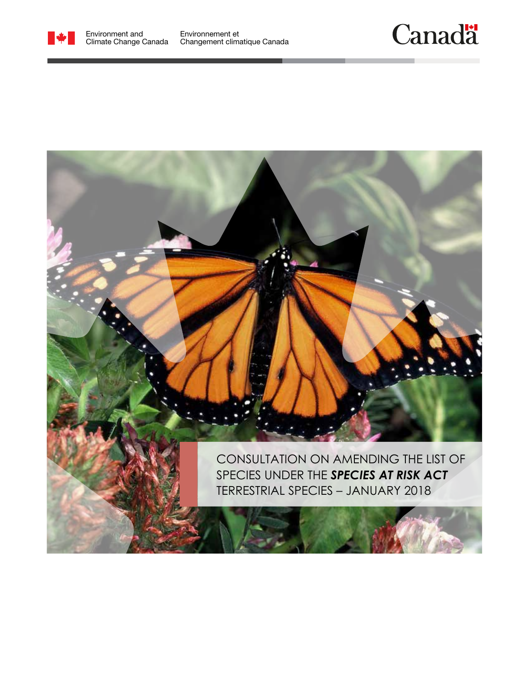

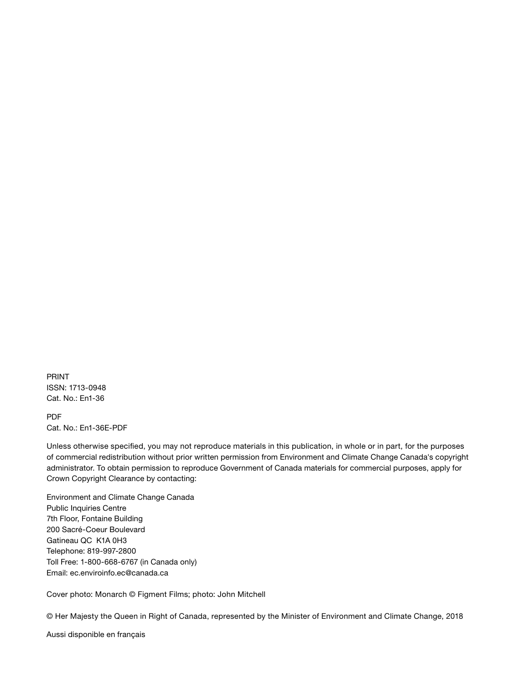PRINT ISSN: 1713‑0948 Cat. No.: En1-36

PDF Cat. No.: En1-36E-PDF

Unless otherwise specified, you may not reproduce materials in this publication, in whole or in part, for the purposes of commercial redistribution without prior written permission from Environment and Climate Change Canada's copyright administrator. To obtain permission to reproduce Government of Canada materials for commercial purposes, apply for Crown Copyright Clearance by contacting:

Environment and Climate Change Canada Public Inquiries Centre 7th Floor, Fontaine Building 200 Sacré-Coeur Boulevard Gatineau QC K1A 0H3 Telephone: 819-997-2800 Toll Free: 1-800-668-6767 (in Canada only) Email: [ec.enviroinfo.ec@canada.ca](mailto:%20ec.enviroinfo.ec%40canada.ca?subject=)

Cover photo: Monarch © Figment Films; photo: John Mitchell

© Her Majesty the Queen in Right of Canada, represented by the Minister of Environment and Climate Change, 2018

Aussi disponible en français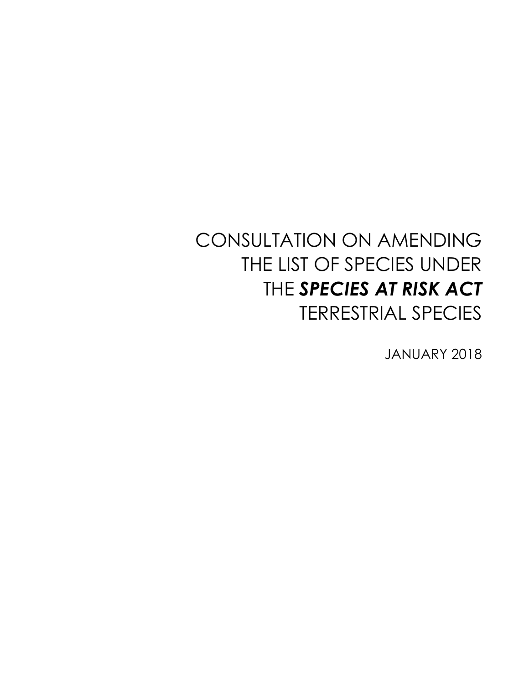# CONSULTATION ON AMENDING THE LIST OF SPECIES UNDER THE *SPECIES AT RISK ACT* TERRESTRIAL SPECIES

JANUARY 2018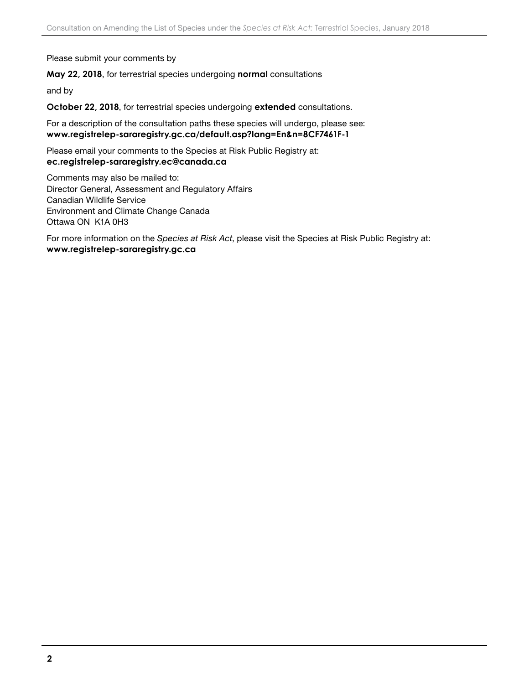Please submit your comments by

#### **May 22, 2018**, for terrestrial species undergoing **normal** consultations

and by

**October 22, 2018**, for terrestrial species undergoing **extended** consultations.

For a description of the consultation paths these species will undergo, please see: **[www.registrelep-sararegistry.gc.ca/default.asp?lang=En&n=8CF7461F-1](http://www.registrelep-sararegistry.gc.ca/default.asp?lang=En&n=8CF7461F-1 )**

Please email your comments to the Species at Risk Public Registry at: **[ec.registrelep-sararegistry.ec@canada.ca](mailto:ec.registrelep-sararegistry.ec%40canada.ca?subject=)**

Comments may also be mailed to: Director General, Assessment and Regulatory Affairs Canadian Wildlife Service Environment and Climate Change Canada Ottawa ON K1A 0H3

For more information on the *Species at Risk Act*, please visit the Species at Risk Public Registry at: **[www.registrelep-sararegistry.gc.ca](http://www.registrelep-sararegistry.gc.ca)**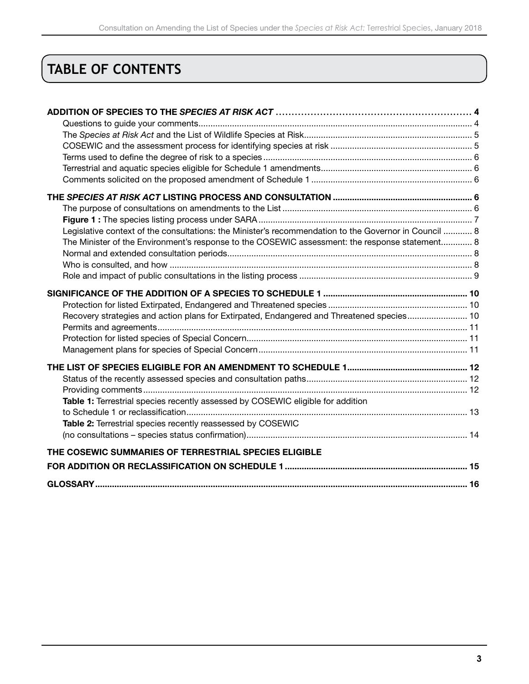## **TABLE OF CONTENTS**

| Legislative context of the consultations: the Minister's recommendation to the Governor in Council  8 |  |
|-------------------------------------------------------------------------------------------------------|--|
| The Minister of the Environment's response to the COSEWIC assessment: the response statement 8        |  |
|                                                                                                       |  |
|                                                                                                       |  |
|                                                                                                       |  |
|                                                                                                       |  |
|                                                                                                       |  |
| Recovery strategies and action plans for Extirpated, Endangered and Threatened species 10             |  |
|                                                                                                       |  |
|                                                                                                       |  |
|                                                                                                       |  |
|                                                                                                       |  |
|                                                                                                       |  |
|                                                                                                       |  |
| Table 1: Terrestrial species recently assessed by COSEWIC eligible for addition                       |  |
|                                                                                                       |  |
| Table 2: Terrestrial species recently reassessed by COSEWIC                                           |  |
|                                                                                                       |  |
| THE COSEWIC SUMMARIES OF TERRESTRIAL SPECIES ELIGIBLE                                                 |  |
|                                                                                                       |  |
|                                                                                                       |  |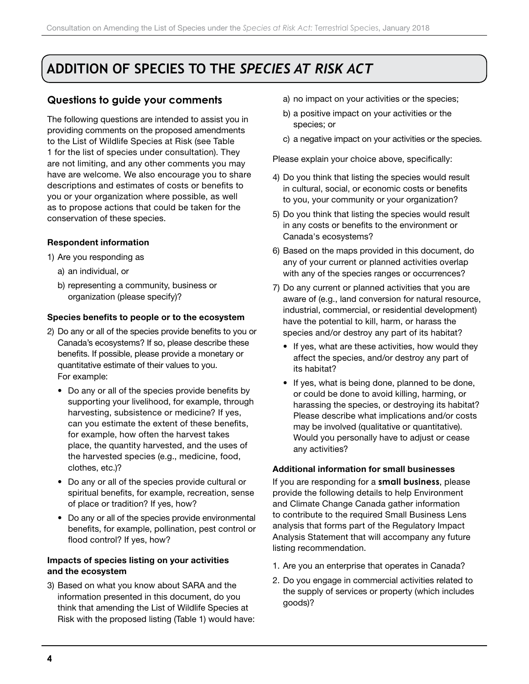## <span id="page-5-0"></span>**ADDITION OF SPECIES TO THE** *SPECIES AT RISK ACT*

## **Questions to guide your comments**

The following questions are intended to assist you in providing comments on the proposed amendments to the List of Wildlife Species at Risk (see Table 1 for the list of species under consultation). They are not limiting, and any other comments you may have are welcome. We also encourage you to share descriptions and estimates of costs or benefits to you or your organization where possible, as well as to propose actions that could be taken for the conservation of these species.

#### Respondent information

- 1) Are you responding as
	- a) an individual, or
	- b) representing a community, business or organization (please specify)?

#### Species benefits to people or to the ecosystem

- 2) Do any or all of the species provide benefits to you or Canada's ecosystems? If so, please describe these benefits. If possible, please provide a monetary or quantitative estimate of their values to you. For example:
	- Do any or all of the species provide benefits by supporting your livelihood, for example, through harvesting, subsistence or medicine? If yes, can you estimate the extent of these benefits, for example, how often the harvest takes place, the quantity harvested, and the uses of the harvested species (e.g., medicine, food, clothes, etc.)?
	- Do any or all of the species provide cultural or spiritual benefits, for example, recreation, sense of place or tradition? If yes, how?
	- Do any or all of the species provide environmental benefits, for example, pollination, pest control or flood control? If yes, how?

#### Impacts of species listing on your activities and the ecosystem

3) Based on what you know about SARA and the information presented in this document, do you think that amending the List of Wildlife Species at Risk with the proposed listing (Table 1) would have:

- a) no impact on your activities or the species;
- b) a positive impact on your activities or the species; or
- c) a negative impact on your activities or the species.

Please explain your choice above, specifically:

- 4) Do you think that listing the species would result in cultural, social, or economic costs or benefits to you, your community or your organization?
- 5) Do you think that listing the species would result in any costs or benefits to the environment or Canada's ecosystems?
- 6) Based on the maps provided in this document, do any of your current or planned activities overlap with any of the species ranges or occurrences?
- 7) Do any current or planned activities that you are aware of (e.g., land conversion for natural resource, industrial, commercial, or residential development) have the potential to kill, harm, or harass the species and/or destroy any part of its habitat?
	- If yes, what are these activities, how would they affect the species, and/or destroy any part of its habitat?
	- If yes, what is being done, planned to be done, or could be done to avoid killing, harming, or harassing the species, or destroying its habitat? Please describe what implications and/or costs may be involved (qualitative or quantitative). Would you personally have to adjust or cease any activities?

#### Additional information for small businesses

If you are responding for a **small business**, please provide the following details to help Environment and Climate Change Canada gather information to contribute to the required Small Business Lens analysis that forms part of the Regulatory Impact Analysis Statement that will accompany any future listing recommendation.

- 1. Are you an enterprise that operates in Canada?
- 2. Do you engage in commercial activities related to the supply of services or property (which includes goods)?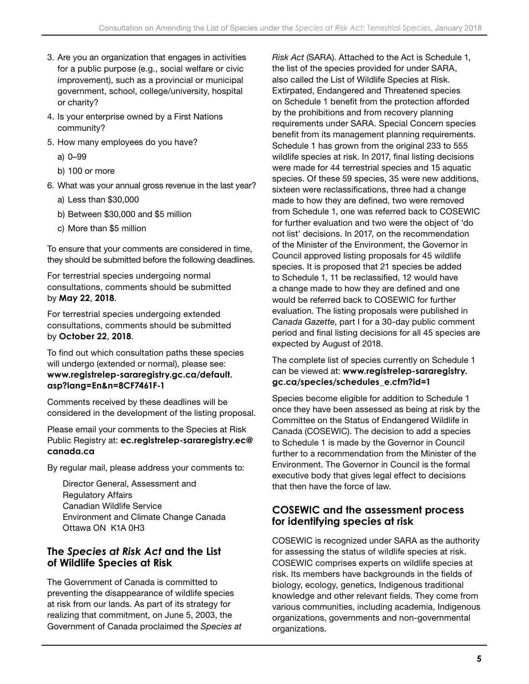- <span id="page-6-0"></span>3. Are you an organization that engages in activities for a public purpose (e.g., social welfare or civic improvement), such as a provincial or municipal government, school, college/university, hospital or charity?
- 4. Is your enterprise owned by a First Nations community?
- 5. How many employees do you have?
	- a) 0–99
	- b) 100 or more
- 6. What was your annual gross revenue in the last year?
	- a) Less than \$30,000
	- b) Between \$30,000 and \$5 million
	- c) More than \$5 million

To ensure that your comments are considered in time, they should be submitted before the following deadlines.

For terrestrial species undergoing normal consultations, comments should be submitted by **May 22, 2018**.

For terrestrial species undergoing extended consultations, comments should be submitted by **October 22, 2018**.

To find out which consultation paths these species will undergo (extended or normal), please see: **[www.registrelep-sararegistry.gc.ca/default.](http://www.registrelep-sararegistry.gc.ca/default.asp?lang=En&n=8CF7461F-1) [asp?lang=En&n=8CF7461F-1](http://www.registrelep-sararegistry.gc.ca/default.asp?lang=En&n=8CF7461F-1)**

Comments received by these deadlines will be considered in the development of the listing proposal.

Please email your comments to the Species at Risk Public Registry at: **[ec.registrelep-sararegistry.ec@](mailto:ec.registrelep-sararegistry.ec%40canada.ca?subject=) [canada.ca](mailto:ec.registrelep-sararegistry.ec%40canada.ca?subject=)** 

By regular mail, please address your comments to:

Director General, Assessment and Regulatory Affairs Canadian Wildlife Service Environment and Climate Change Canada Ottawa ON K1A 0H3

## **The** *Species at Risk Act* **and the List of Wildlife Species at Risk**

The Government of Canada is committed to preventing the disappearance of wildlife species at risk from our lands. As part of its strategy for realizing that commitment, on June 5, 2003, the Government of Canada proclaimed the *Species at*  *Risk Act* (SARA). Attached to the Act is Schedule 1, the list of the species provided for under SARA, also called the List of Wildlife Species at Risk. Extirpated, Endangered and Threatened species on Schedule 1 benefit from the protection afforded by the prohibitions and from recovery planning requirements under SARA. Special Concern species benefit from its management planning requirements. Schedule 1 has grown from the original 233 to 555 wildlife species at risk. In 2017, final listing decisions were made for 44 terrestrial species and 15 aquatic species. Of these 59 species, 35 were new additions, sixteen were reclassifications, three had a change made to how they are defined, two were removed from Schedule 1, one was referred back to COSEWIC for further evaluation and two were the object of 'do not list' decisions. In 2017, on the recommendation of the Minister of the Environment, the Governor in Council approved listing proposals for 45 wildlife species. It is proposed that 21 species be added to Schedule 1, 11 be reclassified, 12 would have a change made to how they are defined and one would be referred back to COSEWIC for further evaluation. The listing proposals were published in *Canada Gazette*, part I for a 30-day public comment period and final listing decisions for all 45 species are expected by August of 2018.

The complete list of species currently on Schedule 1 can be viewed at: **[www.registrelep-sararegistry.](http://www.registrelep-sararegistry.gc.ca/species/schedules_e.cfm?id=1) [gc.ca/species/schedules\\_e.cfm?id=1](http://www.registrelep-sararegistry.gc.ca/species/schedules_e.cfm?id=1)**

Species become eligible for addition to Schedule 1 once they have been assessed as being at risk by the Committee on the Status of Endangered Wildlife in Canada (COSEWIC). The decision to add a species to Schedule 1 is made by the Governor in Council further to a recommendation from the Minister of the Environment. The Governor in Council is the formal executive body that gives legal effect to decisions that then have the force of law.

## **COSEWIC and the assessment process for identifying species at risk**

COSEWIC is recognized under SARA as the authority for assessing the status of wildlife species at risk. COSEWIC comprises experts on wildlife species at risk. Its members have backgrounds in the fields of biology, ecology, genetics, Indigenous traditional knowledge and other relevant fields. They come from various communities, including academia, Indigenous organizations, governments and non-governmental organizations.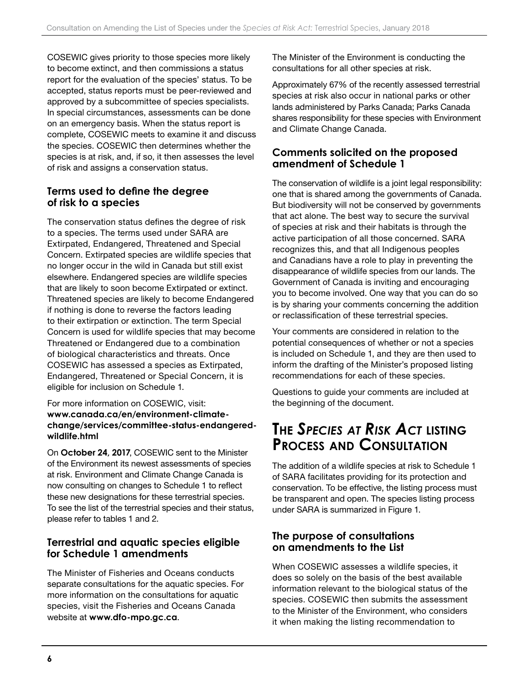<span id="page-7-0"></span>COSEWIC gives priority to those species more likely to become extinct, and then commissions a status report for the evaluation of the species' status. To be accepted, status reports must be peer-reviewed and approved by a subcommittee of species specialists. In special circumstances, assessments can be done on an emergency basis. When the status report is complete, COSEWIC meets to examine it and discuss the species. COSEWIC then determines whether the species is at risk, and, if so, it then assesses the level of risk and assigns a conservation status.

### **Terms used to define the degree of risk to a species**

The conservation status defines the degree of risk to a species. The terms used under SARA are Extirpated, Endangered, Threatened and Special Concern. Extirpated species are wildlife species that no longer occur in the wild in Canada but still exist elsewhere. Endangered species are wildlife species that are likely to soon become Extirpated or extinct. Threatened species are likely to become Endangered if nothing is done to reverse the factors leading to their extirpation or extinction. The term Special Concern is used for wildlife species that may become Threatened or Endangered due to a combination of biological characteristics and threats. Once COSEWIC has assessed a species as Extirpated, Endangered, Threatened or Special Concern, it is eligible for inclusion on Schedule 1.

#### For more information on COSEWIC, visit: **[www.canada.ca/en/environment-climate](http://www.canada.ca/en/environment-climate-change/services/committee-status-endangered-wildlife.html)[change/services/committee-status-endangered](http://www.canada.ca/en/environment-climate-change/services/committee-status-endangered-wildlife.html)[wildlife.html](http://www.canada.ca/en/environment-climate-change/services/committee-status-endangered-wildlife.html)**

On **October 24, 2017**, COSEWIC sent to the Minister of the Environment its newest assessments of species at risk. Environment and Climate Change Canada is now consulting on changes to Schedule 1 to reflect these new designations for these terrestrial species. To see the list of the terrestrial species and their status, please refer to tables 1 and 2.

### **Terrestrial and aquatic species eligible for Schedule 1 amendments**

The Minister of Fisheries and Oceans conducts separate consultations for the aquatic species. For more information on the consultations for aquatic species, visit the Fisheries and Oceans Canada website at **[www.dfo-mpo.gc.ca](http://www.dfo-mpo.gc.ca)**.

The Minister of the Environment is conducting the consultations for all other species at risk.

Approximately 67% of the recently assessed terrestrial species at risk also occur in national parks or other lands administered by Parks Canada; Parks Canada shares responsibility for these species with Environment and Climate Change Canada.

### **Comments solicited on the proposed amendment of Schedule 1**

The conservation of wildlife is a joint legal responsibility: one that is shared among the governments of Canada. But biodiversity will not be conserved by governments that act alone. The best way to secure the survival of species at risk and their habitats is through the active participation of all those concerned. SARA recognizes this, and that all Indigenous peoples and Canadians have a role to play in preventing the disappearance of wildlife species from our lands. The Government of Canada is inviting and encouraging you to become involved. One way that you can do so is by sharing your comments concerning the addition or reclassification of these terrestrial species.

Your comments are considered in relation to the potential consequences of whether or not a species is included on Schedule 1, and they are then used to inform the drafting of the Minister's proposed listing recommendations for each of these species.

Questions to guide your comments are included at the beginning of the document.

## **The** *Species at Risk Act* **listing Process and Consultation**

The addition of a wildlife species at risk to Schedule 1 of SARA facilitates providing for its protection and conservation. To be effective, the listing process must be transparent and open. The species listing process under SARA is summarized in Figure 1.

### **The purpose of consultations on amendments to the List**

When COSEWIC assesses a wildlife species, it does so solely on the basis of the best available information relevant to the biological status of the species. COSEWIC then submits the assessment to the Minister of the Environment, who considers it when making the listing recommendation to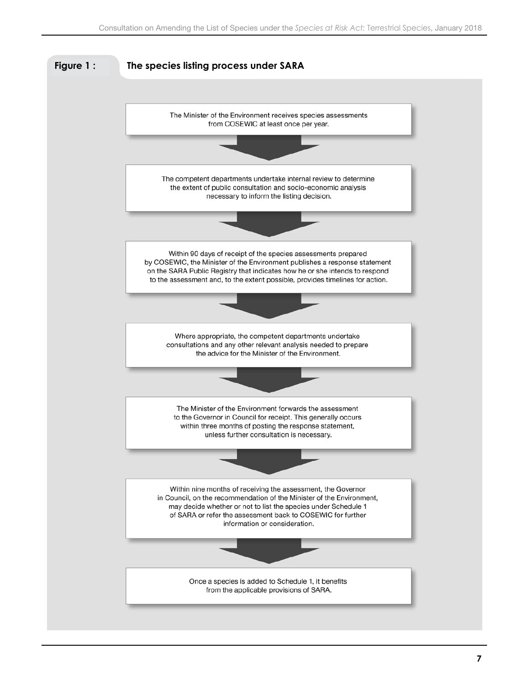<span id="page-8-0"></span>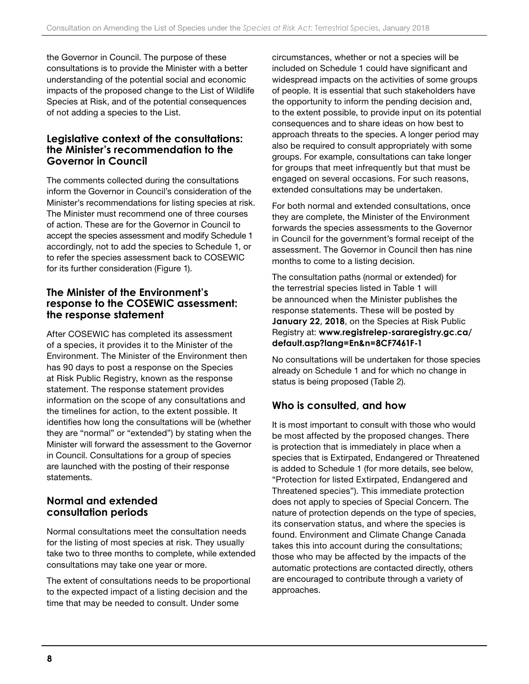<span id="page-9-0"></span>the Governor in Council. The purpose of these consultations is to provide the Minister with a better understanding of the potential social and economic impacts of the proposed change to the List of Wildlife Species at Risk, and of the potential consequences of not adding a species to the List.

### **Legislative context of the consultations: the Minister's recommendation to the Governor in Council**

The comments collected during the consultations inform the Governor in Council's consideration of the Minister's recommendations for listing species at risk. The Minister must recommend one of three courses of action. These are for the Governor in Council to accept the species assessment and modify Schedule 1 accordingly, not to add the species to Schedule 1, or to refer the species assessment back to COSEWIC for its further consideration (Figure 1).

### **The Minister of the Environment's response to the COSEWIC assessment: the response statement**

After COSEWIC has completed its assessment of a species, it provides it to the Minister of the Environment. The Minister of the Environment then has 90 days to post a response on the Species at Risk Public Registry, known as the response statement. The response statement provides information on the scope of any consultations and the timelines for action, to the extent possible. It identifies how long the consultations will be (whether they are "normal" or "extended") by stating when the Minister will forward the assessment to the Governor in Council. Consultations for a group of species are launched with the posting of their response statements.

## **Normal and extended consultation periods**

Normal consultations meet the consultation needs for the listing of most species at risk. They usually take two to three months to complete, while extended consultations may take one year or more.

The extent of consultations needs to be proportional to the expected impact of a listing decision and the time that may be needed to consult. Under some

circumstances, whether or not a species will be included on Schedule 1 could have significant and widespread impacts on the activities of some groups of people. It is essential that such stakeholders have the opportunity to inform the pending decision and, to the extent possible, to provide input on its potential consequences and to share ideas on how best to approach threats to the species. A longer period may also be required to consult appropriately with some groups. For example, consultations can take longer for groups that meet infrequently but that must be engaged on several occasions. For such reasons, extended consultations may be undertaken.

For both normal and extended consultations, once they are complete, the Minister of the Environment forwards the species assessments to the Governor in Council for the government's formal receipt of the assessment. The Governor in Council then has nine months to come to a listing decision.

The consultation paths (normal or extended) for the terrestrial species listed in Table 1 will be announced when the Minister publishes the response statements. These will be posted by **January 22, 2018**, on the Species at Risk Public Registry at: **[www.registrelep-sararegistry.gc.ca/](http://www.registrelep-sararegistry.gc.ca/default.asp?lang=En&n=8CF7461F-1) [default.asp?lang=En&n=8CF7461F-1](http://www.registrelep-sararegistry.gc.ca/default.asp?lang=En&n=8CF7461F-1)**

No consultations will be undertaken for those species already on Schedule 1 and for which no change in status is being proposed (Table 2).

## **Who is consulted, and how**

It is most important to consult with those who would be most affected by the proposed changes. There is protection that is immediately in place when a species that is Extirpated, Endangered or Threatened is added to Schedule 1 (for more details, see below, "Protection for listed Extirpated, Endangered and Threatened species"). This immediate protection does not apply to species of Special Concern. The nature of protection depends on the type of species, its conservation status, and where the species is found. Environment and Climate Change Canada takes this into account during the consultations; those who may be affected by the impacts of the automatic protections are contacted directly, others are encouraged to contribute through a variety of approaches.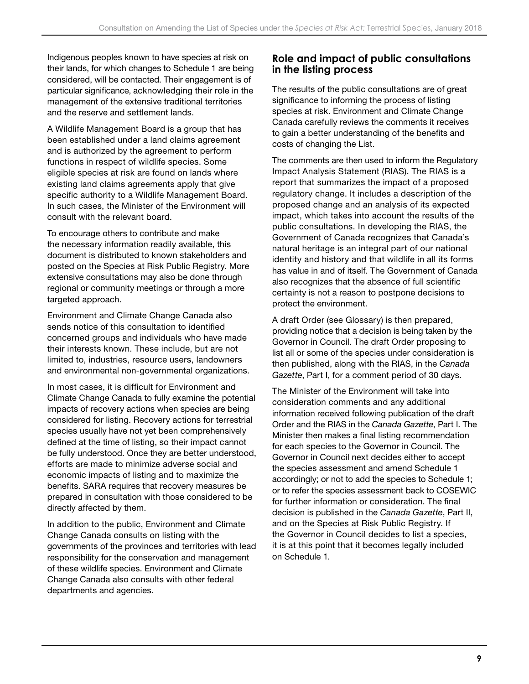<span id="page-10-0"></span>Indigenous peoples known to have species at risk on their lands, for which changes to Schedule 1 are being considered, will be contacted. Their engagement is of particular significance, acknowledging their role in the management of the extensive traditional territories and the reserve and settlement lands.

A Wildlife Management Board is a group that has been established under a land claims agreement and is authorized by the agreement to perform functions in respect of wildlife species. Some eligible species at risk are found on lands where existing land claims agreements apply that give specific authority to a Wildlife Management Board. In such cases, the Minister of the Environment will consult with the relevant board.

To encourage others to contribute and make the necessary information readily available, this document is distributed to known stakeholders and posted on the Species at Risk Public Registry. More extensive consultations may also be done through regional or community meetings or through a more targeted approach.

Environment and Climate Change Canada also sends notice of this consultation to identified concerned groups and individuals who have made their interests known. These include, but are not limited to, industries, resource users, landowners and environmental non-governmental organizations.

In most cases, it is difficult for Environment and Climate Change Canada to fully examine the potential impacts of recovery actions when species are being considered for listing. Recovery actions for terrestrial species usually have not yet been comprehensively defined at the time of listing, so their impact cannot be fully understood. Once they are better understood, efforts are made to minimize adverse social and economic impacts of listing and to maximize the benefits. SARA requires that recovery measures be prepared in consultation with those considered to be directly affected by them.

In addition to the public, Environment and Climate Change Canada consults on listing with the governments of the provinces and territories with lead responsibility for the conservation and management of these wildlife species. Environment and Climate Change Canada also consults with other federal departments and agencies.

## **Role and impact of public consultations in the listing process**

The results of the public consultations are of great significance to informing the process of listing species at risk. Environment and Climate Change Canada carefully reviews the comments it receives to gain a better understanding of the benefits and costs of changing the List.

The comments are then used to inform the Regulatory Impact Analysis Statement (RIAS). The RIAS is a report that summarizes the impact of a proposed regulatory change. It includes a description of the proposed change and an analysis of its expected impact, which takes into account the results of the public consultations. In developing the RIAS, the Government of Canada recognizes that Canada's natural heritage is an integral part of our national identity and history and that wildlife in all its forms has value in and of itself. The Government of Canada also recognizes that the absence of full scientific certainty is not a reason to postpone decisions to protect the environment.

A draft Order (see Glossary) is then prepared, providing notice that a decision is being taken by the Governor in Council. The draft Order proposing to list all or some of the species under consideration is then published, along with the RIAS, in the *Canada Gazette*, Part I, for a comment period of 30 days.

The Minister of the Environment will take into consideration comments and any additional information received following publication of the draft Order and the RIAS in the *Canada Gazette*, Part I. The Minister then makes a final listing recommendation for each species to the Governor in Council. The Governor in Council next decides either to accept the species assessment and amend Schedule 1 accordingly; or not to add the species to Schedule 1; or to refer the species assessment back to COSEWIC for further information or consideration. The final decision is published in the *Canada Gazette*, Part II, and on the Species at Risk Public Registry. If the Governor in Council decides to list a species, it is at this point that it becomes legally included on Schedule 1.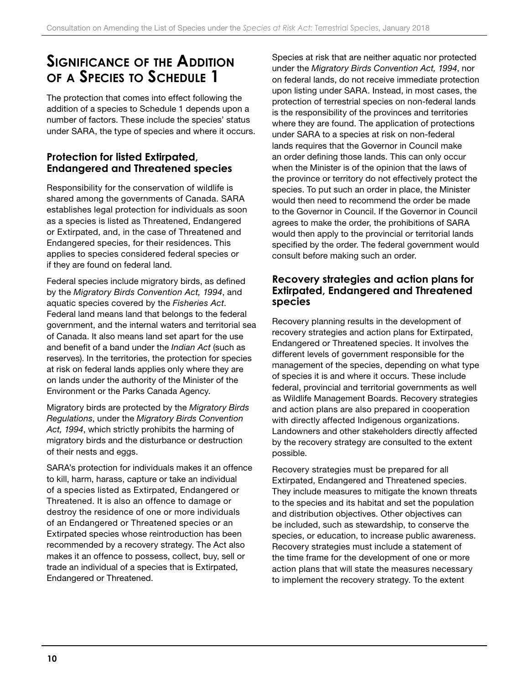## <span id="page-11-0"></span>**Significance of the Addition of <sup>a</sup> Species to Schedule 1**

The protection that comes into effect following the addition of a species to Schedule 1 depends upon a number of factors. These include the species' status under SARA, the type of species and where it occurs.

## **Protection for listed Extirpated, Endangered and Threatened species**

Responsibility for the conservation of wildlife is shared among the governments of Canada. SARA establishes legal protection for individuals as soon as a species is listed as Threatened, Endangered or Extirpated, and, in the case of Threatened and Endangered species, for their residences. This applies to species considered federal species or if they are found on federal land.

Federal species include migratory birds, as defined by the *Migratory Birds Convention Act, 1994*, and aquatic species covered by the *Fisheries Act*. Federal land means land that belongs to the federal government, and the internal waters and territorial sea of Canada. It also means land set apart for the use and benefit of a band under the *Indian Act* (such as reserves). In the territories, the protection for species at risk on federal lands applies only where they are on lands under the authority of the Minister of the Environment or the Parks Canada Agency.

Migratory birds are protected by the *Migratory Birds Regulations*, under the *Migratory Birds Convention Act, 1994*, which strictly prohibits the harming of migratory birds and the disturbance or destruction of their nests and eggs.

SARA's protection for individuals makes it an offence to kill, harm, harass, capture or take an individual of a species listed as Extirpated, Endangered or Threatened. It is also an offence to damage or destroy the residence of one or more individuals of an Endangered or Threatened species or an Extirpated species whose reintroduction has been recommended by a recovery strategy. The Act also makes it an offence to possess, collect, buy, sell or trade an individual of a species that is Extirpated, Endangered or Threatened.

Species at risk that are neither aquatic nor protected under the *Migratory Birds Convention Act, 1994*, nor on federal lands, do not receive immediate protection upon listing under SARA. Instead, in most cases, the protection of terrestrial species on non‑federal lands is the responsibility of the provinces and territories where they are found. The application of protections under SARA to a species at risk on non-federal lands requires that the Governor in Council make an order defining those lands. This can only occur when the Minister is of the opinion that the laws of the province or territory do not effectively protect the species. To put such an order in place, the Minister would then need to recommend the order be made to the Governor in Council. If the Governor in Council agrees to make the order, the prohibitions of SARA would then apply to the provincial or territorial lands specified by the order. The federal government would consult before making such an order.

### **Recovery strategies and action plans for Extirpated, Endangered and Threatened species**

Recovery planning results in the development of recovery strategies and action plans for Extirpated, Endangered or Threatened species. It involves the different levels of government responsible for the management of the species, depending on what type of species it is and where it occurs. These include federal, provincial and territorial governments as well as Wildlife Management Boards. Recovery strategies and action plans are also prepared in cooperation with directly affected Indigenous organizations. Landowners and other stakeholders directly affected by the recovery strategy are consulted to the extent possible.

Recovery strategies must be prepared for all Extirpated, Endangered and Threatened species. They include measures to mitigate the known threats to the species and its habitat and set the population and distribution objectives. Other objectives can be included, such as stewardship, to conserve the species, or education, to increase public awareness. Recovery strategies must include a statement of the time frame for the development of one or more action plans that will state the measures necessary to implement the recovery strategy. To the extent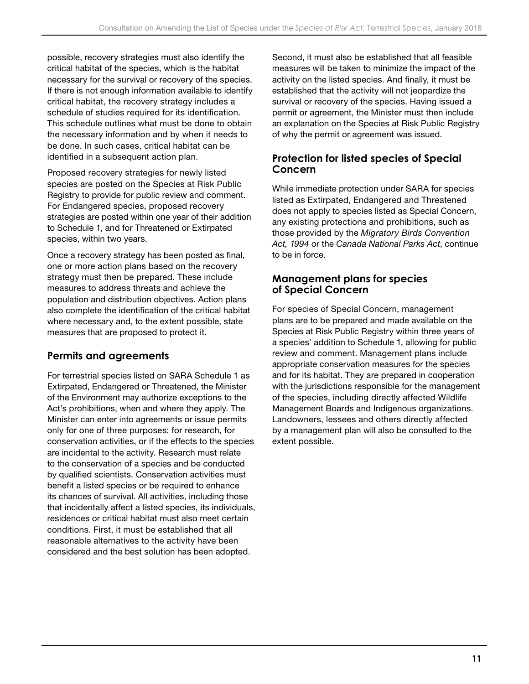<span id="page-12-0"></span>possible, recovery strategies must also identify the critical habitat of the species, which is the habitat necessary for the survival or recovery of the species. If there is not enough information available to identify critical habitat, the recovery strategy includes a schedule of studies required for its identification. This schedule outlines what must be done to obtain the necessary information and by when it needs to be done. In such cases, critical habitat can be identified in a subsequent action plan.

Proposed recovery strategies for newly listed species are posted on the Species at Risk Public Registry to provide for public review and comment. For Endangered species, proposed recovery strategies are posted within one year of their addition to Schedule 1, and for Threatened or Extirpated species, within two years.

Once a recovery strategy has been posted as final, one or more action plans based on the recovery strategy must then be prepared. These include measures to address threats and achieve the population and distribution objectives. Action plans also complete the identification of the critical habitat where necessary and, to the extent possible, state measures that are proposed to protect it.

## **Permits and agreements**

For terrestrial species listed on SARA Schedule 1 as Extirpated, Endangered or Threatened, the Minister of the Environment may authorize exceptions to the Act's prohibitions, when and where they apply. The Minister can enter into agreements or issue permits only for one of three purposes: for research, for conservation activities, or if the effects to the species are incidental to the activity. Research must relate to the conservation of a species and be conducted by qualified scientists. Conservation activities must benefit a listed species or be required to enhance its chances of survival. All activities, including those that incidentally affect a listed species, its individuals, residences or critical habitat must also meet certain conditions. First, it must be established that all reasonable alternatives to the activity have been considered and the best solution has been adopted.

Second, it must also be established that all feasible measures will be taken to minimize the impact of the activity on the listed species. And finally, it must be established that the activity will not jeopardize the survival or recovery of the species. Having issued a permit or agreement, the Minister must then include an explanation on the Species at Risk Public Registry of why the permit or agreement was issued.

## **Protection for listed species of Special Concern**

While immediate protection under SARA for species listed as Extirpated, Endangered and Threatened does not apply to species listed as Special Concern, any existing protections and prohibitions, such as those provided by the *Migratory Birds Convention Act, 1994* or the *Canada National Parks Act*, continue to be in force.

## **Management plans for species of Special Concern**

For species of Special Concern, management plans are to be prepared and made available on the Species at Risk Public Registry within three years of a species' addition to Schedule 1, allowing for public review and comment. Management plans include appropriate conservation measures for the species and for its habitat. They are prepared in cooperation with the jurisdictions responsible for the management of the species, including directly affected Wildlife Management Boards and Indigenous organizations. Landowners, lessees and others directly affected by a management plan will also be consulted to the extent possible.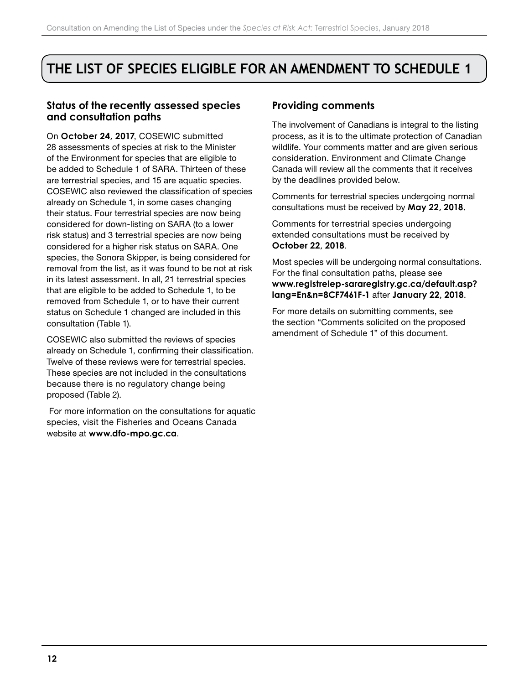## <span id="page-13-0"></span>**THE LIST OF SPECIES ELIGIBLE FOR AN AMENDMENT TO SCHEDULE 1**

### **Status of the recently assessed species and consultation paths**

On **October 24, 2017**, COSEWIC submitted 28 assessments of species at risk to the Minister of the Environment for species that are eligible to be added to Schedule 1 of SARA. Thirteen of these are terrestrial species, and 15 are aquatic species. COSEWIC also reviewed the classification of species already on Schedule 1, in some cases changing their status. Four terrestrial species are now being considered for down‑listing on SARA (to a lower risk status) and 3 terrestrial species are now being considered for a higher risk status on SARA. One species, the Sonora Skipper, is being considered for removal from the list, as it was found to be not at risk in its latest assessment. In all, 21 terrestrial species that are eligible to be added to Schedule 1, to be removed from Schedule 1, or to have their current status on Schedule 1 changed are included in this consultation (Table 1).

COSEWIC also submitted the reviews of species already on Schedule 1, confirming their classification. Twelve of these reviews were for terrestrial species. These species are not included in the consultations because there is no regulatory change being proposed (Table 2).

 For more information on the consultations for aquatic species, visit the Fisheries and Oceans Canada website at **[www.dfo-mpo.gc.ca](http://www.dfo-mpo.gc.ca)**.

#### **Providing comments**

The involvement of Canadians is integral to the listing process, as it is to the ultimate protection of Canadian wildlife. Your comments matter and are given serious consideration. Environment and Climate Change Canada will review all the comments that it receives by the deadlines provided below.

Comments for terrestrial species undergoing normal consultations must be received by **May 22, 2018.**

Comments for terrestrial species undergoing extended consultations must be received by **October 22, 2018**.

Most species will be undergoing normal consultations. For the final consultation paths, please see **[www.registrelep-sararegistry.gc.ca/default.asp?](http://www.registrelep-sararegistry.gc.ca/default.asp? lang=En&n=8CF7461F-1) [lang=En&n=8CF7461F-1](http://www.registrelep-sararegistry.gc.ca/default.asp? lang=En&n=8CF7461F-1)** after **January 22, 2018**.

For more details on submitting comments, see the section "Comments solicited on the proposed amendment of Schedule 1" of this document.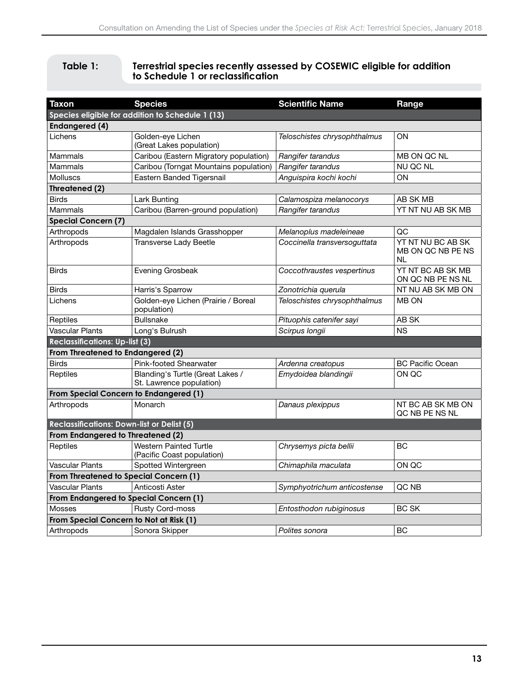#### <span id="page-14-0"></span>**Table 1: Terrestrial species recently assessed by COSEWIC eligible for addition to Schedule 1 or reclassification**

| <b>Taxon</b>                                                              | <b>Species</b>                                               | <b>Scientific Name</b>       | Range                                               |  |  |  |
|---------------------------------------------------------------------------|--------------------------------------------------------------|------------------------------|-----------------------------------------------------|--|--|--|
|                                                                           |                                                              |                              |                                                     |  |  |  |
| Species eligible for addition to Schedule 1 (13)<br><b>Endangered (4)</b> |                                                              |                              |                                                     |  |  |  |
| Lichens                                                                   | Golden-eye Lichen                                            | Teloschistes chrysophthalmus | ΟN                                                  |  |  |  |
|                                                                           | (Great Lakes population)                                     |                              |                                                     |  |  |  |
| Mammals                                                                   | Caribou (Eastern Migratory population)                       | Rangifer tarandus            | MB ON QC NL                                         |  |  |  |
| Mammals                                                                   | Caribou (Torngat Mountains population)                       | Rangifer tarandus            | NU QC NL                                            |  |  |  |
| Molluscs                                                                  | Eastern Banded Tigersnail                                    | Anguispira kochi kochi       | ON                                                  |  |  |  |
| Threatened (2)                                                            |                                                              |                              |                                                     |  |  |  |
| <b>Birds</b>                                                              | Lark Bunting                                                 | Calamospiza melanocorys      | AB SK MB                                            |  |  |  |
| Mammals                                                                   | Caribou (Barren-ground population)                           | Rangifer tarandus            | YT NT NU AB SK MB                                   |  |  |  |
| <b>Special Concern (7)</b>                                                |                                                              |                              |                                                     |  |  |  |
| Arthropods                                                                | Magdalen Islands Grasshopper                                 | Melanoplus madeleineae       | QC                                                  |  |  |  |
| Arthropods                                                                | <b>Transverse Lady Beetle</b>                                | Coccinella transversoguttata | YT NT NU BC AB SK<br>MB ON QC NB PE NS<br><b>NL</b> |  |  |  |
| <b>Birds</b>                                                              | Evening Grosbeak                                             | Coccothraustes vespertinus   | YT NT BC AB SK MB<br>ON QC NB PE NS NL              |  |  |  |
| Birds                                                                     | Harris's Sparrow                                             | Zonotrichia querula          | NT NU AB SK MB ON                                   |  |  |  |
| Lichens                                                                   | Golden-eye Lichen (Prairie / Boreal<br>population)           | Teloschistes chrysophthalmus | <b>MB ON</b>                                        |  |  |  |
| Reptiles                                                                  | <b>Bullsnake</b>                                             | Pituophis catenifer sayi     | AB SK                                               |  |  |  |
| Vascular Plants                                                           | Long's Bulrush                                               | Scirpus longii               | <b>NS</b>                                           |  |  |  |
| <b>Reclassifications: Up-list (3)</b>                                     |                                                              |                              |                                                     |  |  |  |
| From Threatened to Endangered (2)                                         |                                                              |                              |                                                     |  |  |  |
| Birds                                                                     | Pink-footed Shearwater                                       | Ardenna creatopus            | <b>BC Pacific Ocean</b>                             |  |  |  |
| Reptiles                                                                  | Blanding's Turtle (Great Lakes /<br>St. Lawrence population) | Emydoidea blandingii         | ON QC                                               |  |  |  |
| From Special Concern to Endangered (1)                                    |                                                              |                              |                                                     |  |  |  |
| Arthropods                                                                | Monarch                                                      | Danaus plexippus             | NT BC AB SK MB ON<br>QC NB PE NS NL                 |  |  |  |
| <b>Reclassifications: Down-list or Delist (5)</b>                         |                                                              |                              |                                                     |  |  |  |
| From Endangered to Threatened (2)                                         |                                                              |                              |                                                     |  |  |  |
| Reptiles                                                                  | <b>Western Painted Turtle</b><br>(Pacific Coast population)  | Chrysemys picta bellii       | BC                                                  |  |  |  |
| Vascular Plants                                                           | Spotted Wintergreen                                          | Chimaphila maculata          | ON QC                                               |  |  |  |
| From Threatened to Special Concern (1)                                    |                                                              |                              |                                                     |  |  |  |
| Vascular Plants                                                           | Anticosti Aster                                              | Symphyotrichum anticostense  | QC NB                                               |  |  |  |
| From Endangered to Special Concern (1)                                    |                                                              |                              |                                                     |  |  |  |
| <b>Mosses</b>                                                             | <b>Rusty Cord-moss</b>                                       | Entosthodon rubiginosus      | <b>BC SK</b>                                        |  |  |  |
| From Special Concern to Not at Risk (1)                                   |                                                              |                              |                                                     |  |  |  |
| Arthropods                                                                | Sonora Skipper                                               | Polites sonora               | <b>BC</b>                                           |  |  |  |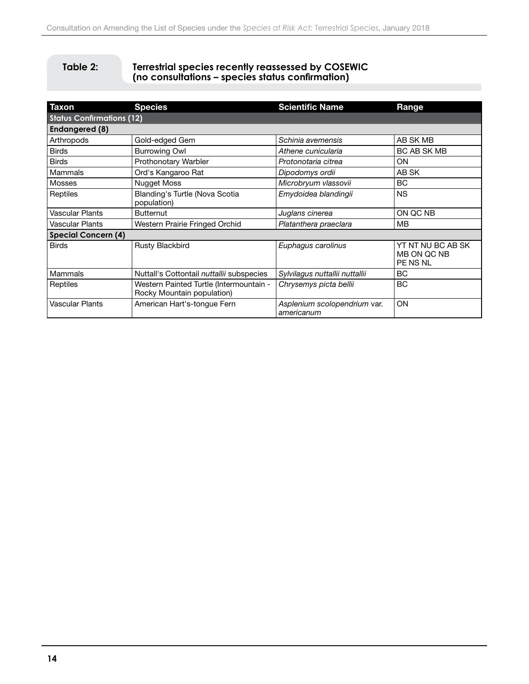#### <span id="page-15-0"></span>**Table 2: Terrestrial species recently reassessed by COSEWIC (no consultations – species status confirmation)**

| <b>Taxon</b>                     | <b>Species</b>                                                        | <b>Scientific Name</b>                     | Range                                        |  |  |  |
|----------------------------------|-----------------------------------------------------------------------|--------------------------------------------|----------------------------------------------|--|--|--|
| <b>Status Confirmations (12)</b> |                                                                       |                                            |                                              |  |  |  |
| <b>Endangered (8)</b>            |                                                                       |                                            |                                              |  |  |  |
| Arthropods                       | Gold-edged Gem                                                        | Schinia avemensis                          | AB SK MB                                     |  |  |  |
| <b>Birds</b>                     | <b>Burrowing Owl</b>                                                  | Athene cunicularia                         | BC AB SK MB                                  |  |  |  |
| <b>Birds</b>                     | Prothonotary Warbler                                                  | Protonotaria citrea                        | <b>ON</b>                                    |  |  |  |
| Mammals                          | Ord's Kangaroo Rat                                                    | Dipodomys ordii                            | AB SK                                        |  |  |  |
| <b>Mosses</b>                    | Nugget Moss                                                           | Microbryum vlassovii                       | <b>BC</b>                                    |  |  |  |
| Reptiles                         | Blanding's Turtle (Nova Scotia<br>population)                         | Emydoidea blandingii                       | <b>NS</b>                                    |  |  |  |
| Vascular Plants                  | <b>Butternut</b>                                                      | Juglans cinerea                            | ON QC NB                                     |  |  |  |
| Vascular Plants                  | Western Prairie Fringed Orchid                                        | Platanthera praeclara                      | MВ                                           |  |  |  |
| <b>Special Concern (4)</b>       |                                                                       |                                            |                                              |  |  |  |
| <b>Birds</b>                     | Rusty Blackbird                                                       | Euphagus carolinus                         | YT NT NU BC AB SK<br>MB ON QC NB<br>PE NS NL |  |  |  |
| Mammals                          | Nuttall's Cottontail nuttallii subspecies                             | Sylvilagus nuttallii nuttallii             | <b>BC</b>                                    |  |  |  |
| Reptiles                         | Western Painted Turtle (Intermountain -<br>Rocky Mountain population) | Chrysemys picta bellii                     | BC                                           |  |  |  |
| Vascular Plants                  | American Hart's-tongue Fern                                           | Asplenium scolopendrium var.<br>americanum | ON                                           |  |  |  |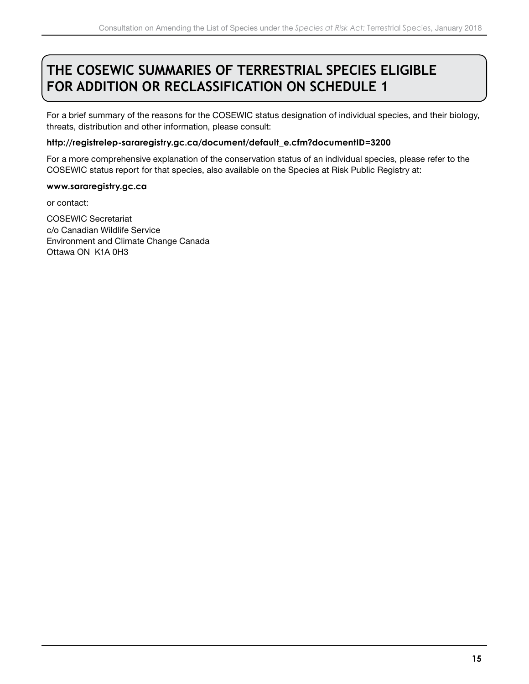## <span id="page-16-0"></span>**THE COSEWIC SUMMARIES OF TERRESTRIAL SPECIES ELIGIBLE FOR ADDITION OR RECLASSIFICATION ON SCHEDULE 1**

For a brief summary of the reasons for the COSEWIC status designation of individual species, and their biology, threats, distribution and other information, please consult:

#### **[http://registrelep-sararegistry.gc.ca/document/default\\_e.cfm?documentID=3200](http://registrelep-sararegistry.gc.ca/document/default_e.cfm?documentID=3200 )**

For a more comprehensive explanation of the conservation status of an individual species, please refer to the COSEWIC status report for that species, also available on the Species at Risk Public Registry at:

#### **[www.sararegistry.gc.ca](http://www.sararegistry.gc.ca)**

or contact:

COSEWIC Secretariat c/o Canadian Wildlife Service Environment and Climate Change Canada Ottawa ON K1A 0H3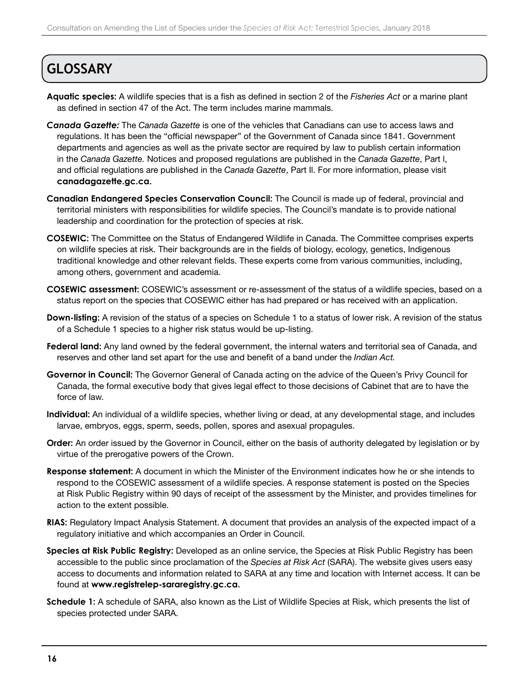## <span id="page-17-0"></span>**GLOSSARY**

- **Aquatic species:** A wildlife species that is a fish as defined in section 2 of the *Fisheries Act* or a marine plant as defined in section 47 of the Act. The term includes marine mammals.
- *Canada Gazette:* The *Canada Gazette* is one of the vehicles that Canadians can use to access laws and regulations. It has been the "official newspaper" of the Government of Canada since 1841. Government departments and agencies as well as the private sector are required by law to publish certain information in the *Canada Gazette.* Notices and proposed regulations are published in the *Canada Gazette*, Part l, and official regulations are published in the *Canada Gazette*, Part Il. For more information, please visit **[canadagazette.gc.ca](http://canadagazette.gc.ca).**
- **Canadian Endangered Species Conservation Council:** The Council is made up of federal, provincial and territorial ministers with responsibilities for wildlife species. The Council's mandate is to provide national leadership and coordination for the protection of species at risk.
- **COSEWIC:** The Committee on the Status of Endangered Wildlife in Canada. The Committee comprises experts on wildlife species at risk. Their backgrounds are in the fields of biology, ecology, genetics, Indigenous traditional knowledge and other relevant fields. These experts come from various communities, including, among others, government and academia.
- **COSEWIC assessment:** COSEWIC's assessment or re-assessment of the status of a wildlife species, based on a status report on the species that COSEWIC either has had prepared or has received with an application.
- **Down‑listing:** A revision of the status of a species on Schedule 1 to a status of lower risk. A revision of the status of a Schedule 1 species to a higher risk status would be up‑listing.
- **Federal land:** Any land owned by the federal government, the internal waters and territorial sea of Canada, and reserves and other land set apart for the use and benefit of a band under the *Indian Act.*
- **Governor in Council:** The Governor General of Canada acting on the advice of the Queen's Privy Council for Canada, the formal executive body that gives legal effect to those decisions of Cabinet that are to have the force of law.
- **Individual:** An individual of a wildlife species, whether living or dead, at any developmental stage, and includes larvae, embryos, eggs, sperm, seeds, pollen, spores and asexual propagules.
- **Order:** An order issued by the Governor in Council, either on the basis of authority delegated by legislation or by virtue of the prerogative powers of the Crown.
- **Response statement:** A document in which the Minister of the Environment indicates how he or she intends to respond to the COSEWIC assessment of a wildlife species. A response statement is posted on the Species at Risk Public Registry within 90 days of receipt of the assessment by the Minister, and provides timelines for action to the extent possible.
- **RIAS:** Regulatory Impact Analysis Statement. A document that provides an analysis of the expected impact of a regulatory initiative and which accompanies an Order in Council.
- **Species at Risk Public Registry:** Developed as an online service, the Species at Risk Public Registry has been accessible to the public since proclamation of the *Species at Risk Act* (SARA). The website gives users easy access to documents and information related to SARA at any time and location with Internet access. It can be found at **[www.registrelep-sararegistry.gc.ca.](http://www.registrelep-sararegistry.gc.ca)**
- **Schedule 1:** A schedule of SARA, also known as the List of Wildlife Species at Risk, which presents the list of species protected under SARA.